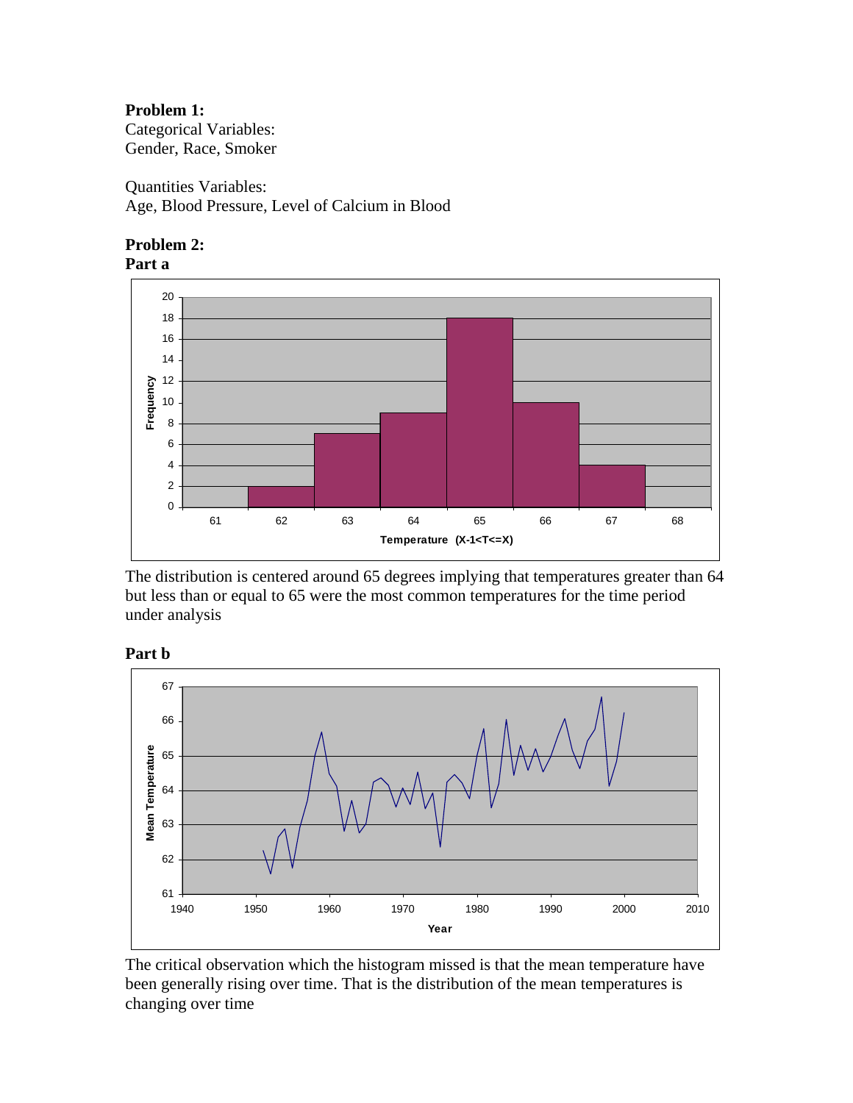## **Problem 1:**

Categorical Variables: Gender, Race, Smoker

Quantities Variables: Age, Blood Pressure, Level of Calcium in Blood





The distribution is centered around 65 degrees implying that temperatures greater than 64 but less than or equal to 65 were the most common temperatures for the time period under analysis



**Part b** 

The critical observation which the histogram missed is that the mean temperature have been generally rising over time. That is the distribution of the mean temperatures is changing over time